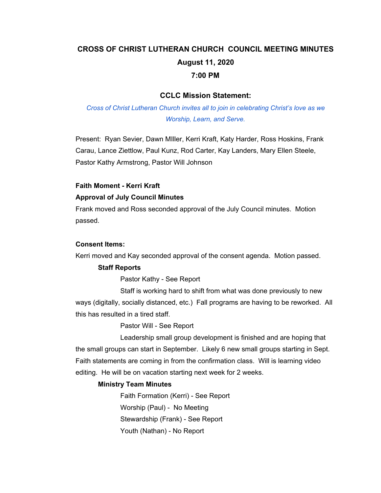# **CROSS OF CHRIST LUTHERAN CHURCH COUNCIL MEETING MINUTES August 11, 2020 7:00 PM**

## **CCLC Mission Statement:**

*Cross of Christ Lutheran Church invites all to join in celebrating Christ's love as we Worship, Learn, and Serve.*

Present: Ryan Sevier, Dawn MIller, Kerri Kraft, Katy Harder, Ross Hoskins, Frank Carau, Lance Ziettlow, Paul Kunz, Rod Carter, Kay Landers, Mary Ellen Steele, Pastor Kathy Armstrong, Pastor Will Johnson

### **Faith Moment - Kerri Kraft**

### **Approval of July Council Minutes**

Frank moved and Ross seconded approval of the July Council minutes. Motion passed.

#### **Consent Items:**

Kerri moved and Kay seconded approval of the consent agenda. Motion passed.

### **Staff Reports**

Pastor Kathy - See Report

Staff is working hard to shift from what was done previously to new ways (digitally, socially distanced, etc.) Fall programs are having to be reworked. All this has resulted in a tired staff.

Pastor Will - See Report

Leadership small group development is finished and are hoping that the small groups can start in September. Likely 6 new small groups starting in Sept. Faith statements are coming in from the confirmation class. Will is learning video editing. He will be on vacation starting next week for 2 weeks.

### **Ministry Team Minutes**

Faith Formation (Kerri) - See Report Worship (Paul) - No Meeting Stewardship (Frank) - See Report Youth (Nathan) - No Report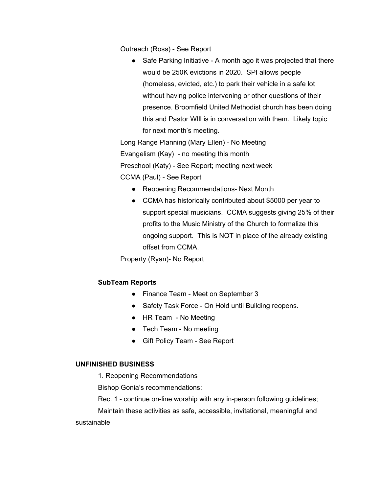Outreach (Ross) - See Report

● Safe Parking Initiative - A month ago it was projected that there would be 250K evictions in 2020. SPI allows people (homeless, evicted, etc.) to park their vehicle in a safe lot without having police intervening or other questions of their presence. Broomfield United Methodist church has been doing this and Pastor WIll is in conversation with them. Likely topic for next month's meeting.

Long Range Planning (Mary Ellen) - No Meeting Evangelism (Kay) - no meeting this month Preschool (Katy) - See Report; meeting next week CCMA (Paul) - See Report

- Reopening Recommendations- Next Month
- CCMA has historically contributed about \$5000 per year to support special musicians. CCMA suggests giving 25% of their profits to the Music Ministry of the Church to formalize this ongoing support. This is NOT in place of the already existing offset from CCMA.

Property (Ryan)- No Report

### **SubTeam Reports**

- Finance Team Meet on September 3
- Safety Task Force On Hold until Building reopens.
- HR Team No Meeting
- Tech Team No meeting
- Gift Policy Team See Report

#### **UNFINISHED BUSINESS**

1. Reopening Recommendations

Bishop Gonia's recommendations:

Rec. 1 - continue on-line worship with any in-person following guidelines;

Maintain these activities as safe, accessible, invitational, meaningful and sustainable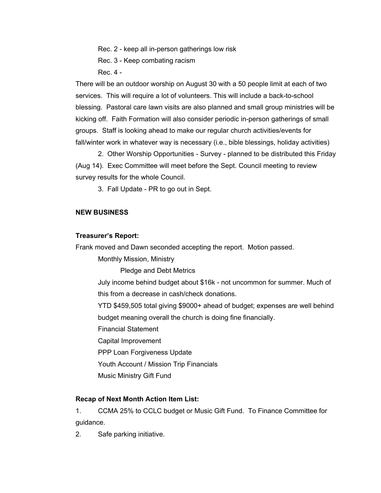Rec. 2 - keep all in-person gatherings low risk

Rec. 3 - Keep combating racism

Rec. 4 -

There will be an outdoor worship on August 30 with a 50 people limit at each of two services. This will require a lot of volunteers. This will include a back-to-school blessing. Pastoral care lawn visits are also planned and small group ministries will be kicking off. Faith Formation will also consider periodic in-person gatherings of small groups. Staff is looking ahead to make our regular church activities/events for fall/winter work in whatever way is necessary (i.e., bible blessings, holiday activities)

2. Other Worship Opportunities - Survey - planned to be distributed this Friday (Aug 14). Exec Committee will meet before the Sept. Council meeting to review survey results for the whole Council.

3. Fall Update - PR to go out in Sept.

# **NEW BUSINESS**

## **Treasurer's Report:**

Frank moved and Dawn seconded accepting the report. Motion passed.

Monthly Mission, Ministry

Pledge and Debt Metrics

July income behind budget about \$16k - not uncommon for summer. Much of this from a decrease in cash/check donations.

YTD \$459,505 total giving \$9000+ ahead of budget; expenses are well behind budget meaning overall the church is doing fine financially.

Financial Statement

Capital Improvement

PPP Loan Forgiveness Update

Youth Account / Mission Trip Financials

Music Ministry Gift Fund

# **Recap of Next Month Action Item List:**

1. CCMA 25% to CCLC budget or Music Gift Fund. To Finance Committee for guidance.

2. Safe parking initiative.